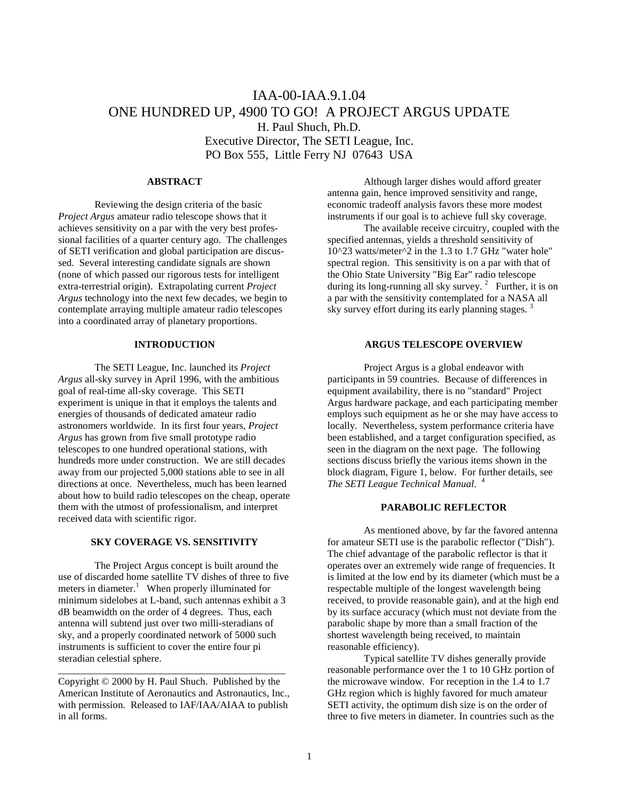# IAA-00-IAA.9.1.04 ONE HUNDRED UP, 4900 TO GO! A PROJECT ARGUS UPDATE H. Paul Shuch, Ph.D. Executive Director, The SETI League, Inc. PO Box 555, Little Ferry NJ 07643 USA

#### **ABSTRACT**

Reviewing the design criteria of the basic *Project Argus* amateur radio telescope shows that it achieves sensitivity on a par with the very best professional facilities of a quarter century ago. The challenges of SETI verification and global participation are discussed. Several interesting candidate signals are shown (none of which passed our rigorous tests for intelligent extra-terrestrial origin). Extrapolating current *Project Argus* technology into the next few decades, we begin to contemplate arraying multiple amateur radio telescopes into a coordinated array of planetary proportions.

### **INTRODUCTION**

The SETI League, Inc. launched its *Project Argus* all-sky survey in April 1996, with the ambitious goal of real-time all-sky coverage. This SETI experiment is unique in that it employs the talents and energies of thousands of dedicated amateur radio astronomers worldwide. In its first four years, *Project Argus* has grown from five small prototype radio telescopes to one hundred operational stations, with hundreds more under construction. We are still decades away from our projected 5,000 stations able to see in all directions at once. Nevertheless, much has been learned about how to build radio telescopes on the cheap, operate them with the utmost of professionalism, and interpret received data with scientific rigor.

#### **SKY COVERAGE VS. SENSITIVITY**

 The Project Argus concept is built around the use of discarded home satellite TV dishes of three to five meters in diameter.<sup>1</sup> When properly illuminated for minimum sidelobes at L-band, such antennas exhibit a 3 dB beamwidth on the order of 4 degrees. Thus, each antenna will subtend just over two milli-steradians of sky, and a properly coordinated network of 5000 such instruments is sufficient to cover the entire four pi steradian celestial sphere.

Copyright © 2000 by H. Paul Shuch. Published by the American Institute of Aeronautics and Astronautics, Inc., with permission. Released to IAF/IAA/AIAA to publish in all forms.

\_\_\_\_\_\_\_\_\_\_\_\_\_\_\_\_\_\_\_\_\_\_\_\_\_\_\_\_\_\_\_\_\_\_\_\_\_\_\_\_\_\_\_\_\_

Although larger dishes would afford greater antenna gain, hence improved sensitivity and range, economic tradeoff analysis favors these more modest instruments if our goal is to achieve full sky coverage.

The available receive circuitry, coupled with the specified antennas, yields a threshold sensitivity of 10^23 watts/meter^2 in the 1.3 to 1.7 GHz "water hole" spectral region. This sensitivity is on a par with that of the Ohio State University "Big Ear" radio telescope during its long-running all sky survey.<sup>2</sup> Further, it is on a par with the sensitivity contemplated for a NASA all sky survey effort during its early planning stages.

### **ARGUS TELESCOPE OVERVIEW**

Project Argus is a global endeavor with participants in 59 countries. Because of differences in equipment availability, there is no "standard" Project Argus hardware package, and each participating member employs such equipment as he or she may have access to locally. Nevertheless, system performance criteria have been established, and a target configuration specified, as seen in the diagram on the next page. The following sections discuss briefly the various items shown in the block diagram, Figure 1, below. For further details, see *The SETI League Technical Manual*. 4

### **PARABOLIC REFLECTOR**

 As mentioned above, by far the favored antenna for amateur SETI use is the parabolic reflector ("Dish"). The chief advantage of the parabolic reflector is that it operates over an extremely wide range of frequencies. It is limited at the low end by its diameter (which must be a respectable multiple of the longest wavelength being received, to provide reasonable gain), and at the high end by its surface accuracy (which must not deviate from the parabolic shape by more than a small fraction of the shortest wavelength being received, to maintain reasonable efficiency).

Typical satellite TV dishes generally provide reasonable performance over the 1 to 10 GHz portion of the microwave window. For reception in the 1.4 to 1.7 GHz region which is highly favored for much amateur SETI activity, the optimum dish size is on the order of three to five meters in diameter. In countries such as the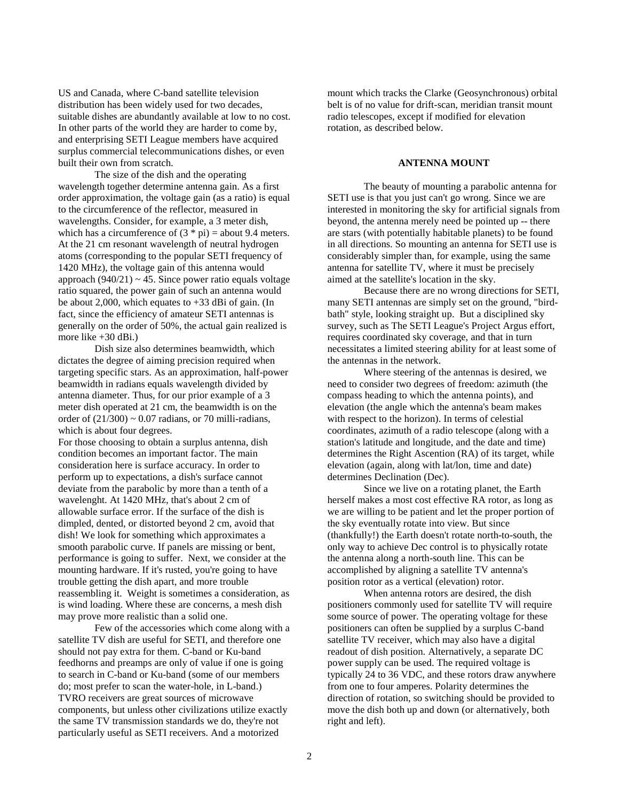US and Canada, where C-band satellite television distribution has been widely used for two decades, suitable dishes are abundantly available at low to no cost. In other parts of the world they are harder to come by, and enterprising SETI League members have acquired surplus commercial telecommunications dishes, or even built their own from scratch.

The size of the dish and the operating wavelength together determine antenna gain. As a first order approximation, the voltage gain (as a ratio) is equal to the circumference of the reflector, measured in wavelengths. Consider, for example, a 3 meter dish, which has a circumference of  $(3 * pi) =$  about 9.4 meters. At the 21 cm resonant wavelength of neutral hydrogen atoms (corresponding to the popular SETI frequency of 1420 MHz), the voltage gain of this antenna would approach  $(940/21)$  ~ 45. Since power ratio equals voltage ratio squared, the power gain of such an antenna would be about 2,000, which equates to  $+33$  dBi of gain. (In fact, since the efficiency of amateur SETI antennas is generally on the order of 50%, the actual gain realized is more like +30 dBi.)

Dish size also determines beamwidth, which dictates the degree of aiming precision required when targeting specific stars. As an approximation, half-power beamwidth in radians equals wavelength divided by antenna diameter. Thus, for our prior example of a 3 meter dish operated at 21 cm, the beamwidth is on the order of  $(21/300) \sim 0.07$  radians, or 70 milli-radians, which is about four degrees.

For those choosing to obtain a surplus antenna, dish condition becomes an important factor. The main consideration here is surface accuracy. In order to perform up to expectations, a dish's surface cannot deviate from the parabolic by more than a tenth of a wavelenght. At 1420 MHz, that's about 2 cm of allowable surface error. If the surface of the dish is dimpled, dented, or distorted beyond 2 cm, avoid that dish! We look for something which approximates a smooth parabolic curve. If panels are missing or bent, performance is going to suffer. Next, we consider at the mounting hardware. If it's rusted, you're going to have trouble getting the dish apart, and more trouble reassembling it. Weight is sometimes a consideration, as is wind loading. Where these are concerns, a mesh dish may prove more realistic than a solid one.

Few of the accessories which come along with a satellite TV dish are useful for SETI, and therefore one should not pay extra for them. C-band or Ku-band feedhorns and preamps are only of value if one is going to search in C-band or Ku-band (some of our members do; most prefer to scan the water-hole, in L-band.) TVRO receivers are great sources of microwave components, but unless other civilizations utilize exactly the same TV transmission standards we do, they're not particularly useful as SETI receivers. And a motorized

mount which tracks the Clarke (Geosynchronous) orbital belt is of no value for drift-scan, meridian transit mount radio telescopes, except if modified for elevation rotation, as described below.

### **ANTENNA MOUNT**

 The beauty of mounting a parabolic antenna for SETI use is that you just can't go wrong. Since we are interested in monitoring the sky for artificial signals from beyond, the antenna merely need be pointed up -- there are stars (with potentially habitable planets) to be found in all directions. So mounting an antenna for SETI use is considerably simpler than, for example, using the same antenna for satellite TV, where it must be precisely aimed at the satellite's location in the sky.

Because there are no wrong directions for SETI, many SETI antennas are simply set on the ground, "birdbath" style, looking straight up. But a disciplined sky survey, such as The SETI League's Project Argus effort, requires coordinated sky coverage, and that in turn necessitates a limited steering ability for at least some of the antennas in the network.

Where steering of the antennas is desired, we need to consider two degrees of freedom: azimuth (the compass heading to which the antenna points), and elevation (the angle which the antenna's beam makes with respect to the horizon). In terms of celestial coordinates, azimuth of a radio telescope (along with a station's latitude and longitude, and the date and time) determines the Right Ascention (RA) of its target, while elevation (again, along with lat/lon, time and date) determines Declination (Dec).

 Since we live on a rotating planet, the Earth herself makes a most cost effective RA rotor, as long as we are willing to be patient and let the proper portion of the sky eventually rotate into view. But since (thankfully!) the Earth doesn't rotate north-to-south, the only way to achieve Dec control is to physically rotate the antenna along a north-south line. This can be accomplished by aligning a satellite TV antenna's position rotor as a vertical (elevation) rotor.

When antenna rotors are desired, the dish positioners commonly used for satellite TV will require some source of power. The operating voltage for these positioners can often be supplied by a surplus C-band satellite TV receiver, which may also have a digital readout of dish position. Alternatively, a separate DC power supply can be used. The required voltage is typically 24 to 36 VDC, and these rotors draw anywhere from one to four amperes. Polarity determines the direction of rotation, so switching should be provided to move the dish both up and down (or alternatively, both right and left).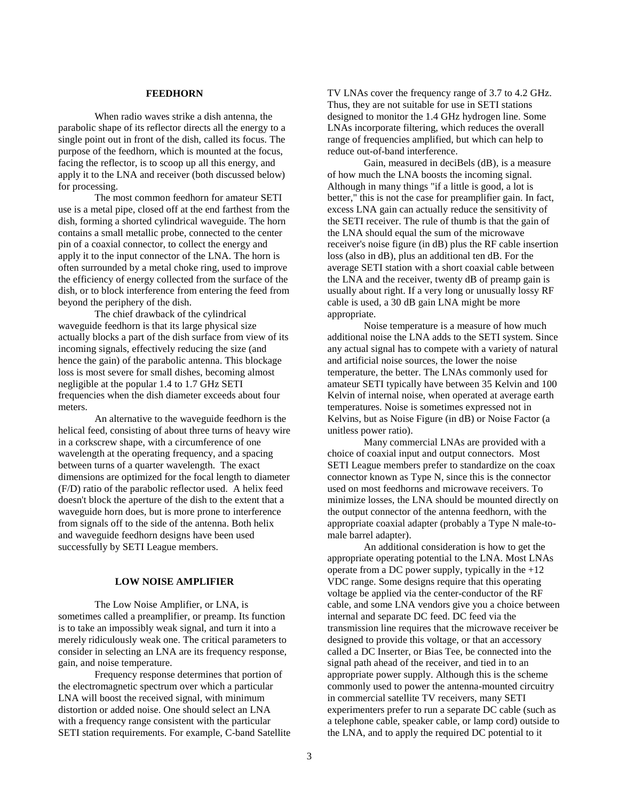#### **FEEDHORN**

 When radio waves strike a dish antenna, the parabolic shape of its reflector directs all the energy to a single point out in front of the dish, called its focus. The purpose of the feedhorn, which is mounted at the focus, facing the reflector, is to scoop up all this energy, and apply it to the LNA and receiver (both discussed below) for processing.

The most common feedhorn for amateur SETI use is a metal pipe, closed off at the end farthest from the dish, forming a shorted cylindrical waveguide. The horn contains a small metallic probe, connected to the center pin of a coaxial connector, to collect the energy and apply it to the input connector of the LNA. The horn is often surrounded by a metal choke ring, used to improve the efficiency of energy collected from the surface of the dish, or to block interference from entering the feed from beyond the periphery of the dish.

 The chief drawback of the cylindrical waveguide feedhorn is that its large physical size actually blocks a part of the dish surface from view of its incoming signals, effectively reducing the size (and hence the gain) of the parabolic antenna. This blockage loss is most severe for small dishes, becoming almost negligible at the popular 1.4 to 1.7 GHz SETI frequencies when the dish diameter exceeds about four meters.

An alternative to the waveguide feedhorn is the helical feed, consisting of about three turns of heavy wire in a corkscrew shape, with a circumference of one wavelength at the operating frequency, and a spacing between turns of a quarter wavelength. The exact dimensions are optimized for the focal length to diameter (F/D) ratio of the parabolic reflector used. A helix feed doesn't block the aperture of the dish to the extent that a waveguide horn does, but is more prone to interference from signals off to the side of the antenna. Both helix and waveguide feedhorn designs have been used successfully by SETI League members.

#### **LOW NOISE AMPLIFIER**

 The Low Noise Amplifier, or LNA, is sometimes called a preamplifier, or preamp. Its function is to take an impossibly weak signal, and turn it into a merely ridiculously weak one. The critical parameters to consider in selecting an LNA are its frequency response, gain, and noise temperature.

Frequency response determines that portion of the electromagnetic spectrum over which a particular LNA will boost the received signal, with minimum distortion or added noise. One should select an LNA with a frequency range consistent with the particular SETI station requirements. For example, C-band Satellite TV LNAs cover the frequency range of 3.7 to 4.2 GHz. Thus, they are not suitable for use in SETI stations designed to monitor the 1.4 GHz hydrogen line. Some LNAs incorporate filtering, which reduces the overall range of frequencies amplified, but which can help to reduce out-of-band interference.

Gain, measured in deciBels (dB), is a measure of how much the LNA boosts the incoming signal. Although in many things "if a little is good, a lot is better," this is not the case for preamplifier gain. In fact, excess LNA gain can actually reduce the sensitivity of the SETI receiver. The rule of thumb is that the gain of the LNA should equal the sum of the microwave receiver's noise figure (in dB) plus the RF cable insertion loss (also in dB), plus an additional ten dB. For the average SETI station with a short coaxial cable between the LNA and the receiver, twenty dB of preamp gain is usually about right. If a very long or unusually lossy RF cable is used, a 30 dB gain LNA might be more appropriate.

Noise temperature is a measure of how much additional noise the LNA adds to the SETI system. Since any actual signal has to compete with a variety of natural and artificial noise sources, the lower the noise temperature, the better. The LNAs commonly used for amateur SETI typically have between 35 Kelvin and 100 Kelvin of internal noise, when operated at average earth temperatures. Noise is sometimes expressed not in Kelvins, but as Noise Figure (in dB) or Noise Factor (a unitless power ratio).

Many commercial LNAs are provided with a choice of coaxial input and output connectors. Most SETI League members prefer to standardize on the coax connector known as Type N, since this is the connector used on most feedhorns and microwave receivers. To minimize losses, the LNA should be mounted directly on the output connector of the antenna feedhorn, with the appropriate coaxial adapter (probably a Type N male-tomale barrel adapter).

An additional consideration is how to get the appropriate operating potential to the LNA. Most LNAs operate from a DC power supply, typically in the +12 VDC range. Some designs require that this operating voltage be applied via the center-conductor of the RF cable, and some LNA vendors give you a choice between internal and separate DC feed. DC feed via the transmission line requires that the microwave receiver be designed to provide this voltage, or that an accessory called a DC Inserter, or Bias Tee, be connected into the signal path ahead of the receiver, and tied in to an appropriate power supply. Although this is the scheme commonly used to power the antenna-mounted circuitry in commercial satellite TV receivers, many SETI experimenters prefer to run a separate DC cable (such as a telephone cable, speaker cable, or lamp cord) outside to the LNA, and to apply the required DC potential to it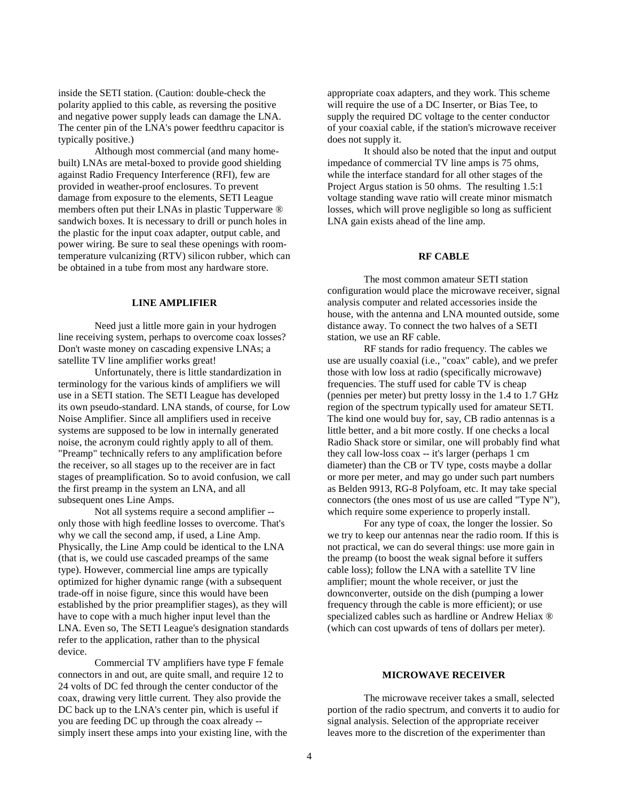inside the SETI station. (Caution: double-check the polarity applied to this cable, as reversing the positive and negative power supply leads can damage the LNA. The center pin of the LNA's power feedthru capacitor is typically positive.)

Although most commercial (and many homebuilt) LNAs are metal-boxed to provide good shielding against Radio Frequency Interference (RFI), few are provided in weather-proof enclosures. To prevent damage from exposure to the elements, SETI League members often put their LNAs in plastic Tupperware ® sandwich boxes. It is necessary to drill or punch holes in the plastic for the input coax adapter, output cable, and power wiring. Be sure to seal these openings with roomtemperature vulcanizing (RTV) silicon rubber, which can be obtained in a tube from most any hardware store.

#### **LINE AMPLIFIER**

 Need just a little more gain in your hydrogen line receiving system, perhaps to overcome coax losses? Don't waste money on cascading expensive LNAs; a satellite TV line amplifier works great!

Unfortunately, there is little standardization in terminology for the various kinds of amplifiers we will use in a SETI station. The SETI League has developed its own pseudo-standard. LNA stands, of course, for Low Noise Amplifier. Since all amplifiers used in receive systems are supposed to be low in internally generated noise, the acronym could rightly apply to all of them. "Preamp" technically refers to any amplification before the receiver, so all stages up to the receiver are in fact stages of preamplification. So to avoid confusion, we call the first preamp in the system an LNA, and all subsequent ones Line Amps.

Not all systems require a second amplifier - only those with high feedline losses to overcome. That's why we call the second amp, if used, a Line Amp. Physically, the Line Amp could be identical to the LNA (that is, we could use cascaded preamps of the same type). However, commercial line amps are typically optimized for higher dynamic range (with a subsequent trade-off in noise figure, since this would have been established by the prior preamplifier stages), as they will have to cope with a much higher input level than the LNA. Even so, The SETI League's designation standards refer to the application, rather than to the physical device.

Commercial TV amplifiers have type F female connectors in and out, are quite small, and require 12 to 24 volts of DC fed through the center conductor of the coax, drawing very little current. They also provide the DC back up to the LNA's center pin, which is useful if you are feeding DC up through the coax already - simply insert these amps into your existing line, with the

appropriate coax adapters, and they work. This scheme will require the use of a DC Inserter, or Bias Tee, to supply the required DC voltage to the center conductor of your coaxial cable, if the station's microwave receiver does not supply it.

It should also be noted that the input and output impedance of commercial TV line amps is 75 ohms, while the interface standard for all other stages of the Project Argus station is 50 ohms. The resulting 1.5:1 voltage standing wave ratio will create minor mismatch losses, which will prove negligible so long as sufficient LNA gain exists ahead of the line amp.

### **RF CABLE**

The most common amateur SETI station configuration would place the microwave receiver, signal analysis computer and related accessories inside the house, with the antenna and LNA mounted outside, some distance away. To connect the two halves of a SETI station, we use an RF cable.

RF stands for radio frequency. The cables we use are usually coaxial (i.e., "coax" cable), and we prefer those with low loss at radio (specifically microwave) frequencies. The stuff used for cable TV is cheap (pennies per meter) but pretty lossy in the 1.4 to 1.7 GHz region of the spectrum typically used for amateur SETI. The kind one would buy for, say, CB radio antennas is a little better, and a bit more costly. If one checks a local Radio Shack store or similar, one will probably find what they call low-loss coax -- it's larger (perhaps 1 cm diameter) than the CB or TV type, costs maybe a dollar or more per meter, and may go under such part numbers as Belden 9913, RG-8 Polyfoam, etc. It may take special connectors (the ones most of us use are called "Type N"), which require some experience to properly install.

For any type of coax, the longer the lossier. So we try to keep our antennas near the radio room. If this is not practical, we can do several things: use more gain in the preamp (to boost the weak signal before it suffers cable loss); follow the LNA with a satellite TV line amplifier; mount the whole receiver, or just the downconverter, outside on the dish (pumping a lower frequency through the cable is more efficient); or use specialized cables such as hardline or Andrew Heliax ® (which can cost upwards of tens of dollars per meter).

#### **MICROWAVE RECEIVER**

 The microwave receiver takes a small, selected portion of the radio spectrum, and converts it to audio for signal analysis. Selection of the appropriate receiver leaves more to the discretion of the experimenter than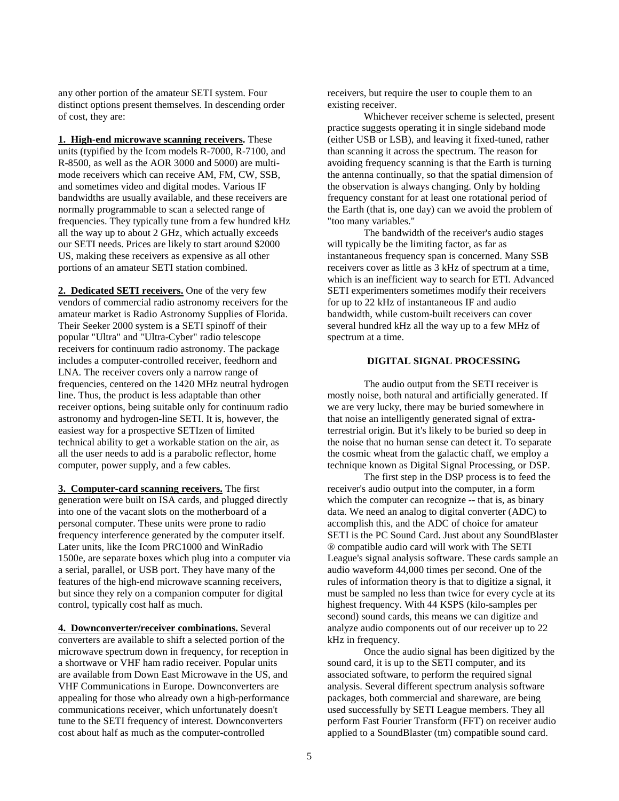any other portion of the amateur SETI system. Four distinct options present themselves. In descending order of cost, they are:

**1. High-end microwave scanning receivers.** These units (typified by the Icom models R-7000, R-7100, and R-8500, as well as the AOR 3000 and 5000) are multimode receivers which can receive AM, FM, CW, SSB, and sometimes video and digital modes. Various IF bandwidths are usually available, and these receivers are normally programmable to scan a selected range of frequencies. They typically tune from a few hundred kHz all the way up to about 2 GHz, which actually exceeds our SETI needs. Prices are likely to start around \$2000 US, making these receivers as expensive as all other portions of an amateur SETI station combined.

**2. Dedicated SETI receivers.** One of the very few vendors of commercial radio astronomy receivers for the amateur market is Radio Astronomy Supplies of Florida. Their Seeker 2000 system is a SETI spinoff of their popular "Ultra" and "Ultra-Cyber" radio telescope receivers for continuum radio astronomy. The package includes a computer-controlled receiver, feedhorn and LNA. The receiver covers only a narrow range of frequencies, centered on the 1420 MHz neutral hydrogen line. Thus, the product is less adaptable than other receiver options, being suitable only for continuum radio astronomy and hydrogen-line SETI. It is, however, the easiest way for a prospective SETIzen of limited technical ability to get a workable station on the air, as all the user needs to add is a parabolic reflector, home computer, power supply, and a few cables.

**3. Computer-card scanning receivers.** The first generation were built on ISA cards, and plugged directly into one of the vacant slots on the motherboard of a personal computer. These units were prone to radio frequency interference generated by the computer itself. Later units, like the Icom PRC1000 and WinRadio 1500e, are separate boxes which plug into a computer via a serial, parallel, or USB port. They have many of the features of the high-end microwave scanning receivers, but since they rely on a companion computer for digital control, typically cost half as much.

**4. Downconverter/receiver combinations.** Several converters are available to shift a selected portion of the microwave spectrum down in frequency, for reception in a shortwave or VHF ham radio receiver. Popular units are available from Down East Microwave in the US, and VHF Communications in Europe. Downconverters are appealing for those who already own a high-performance communications receiver, which unfortunately doesn't tune to the SETI frequency of interest. Downconverters cost about half as much as the computer-controlled

receivers, but require the user to couple them to an existing receiver.

Whichever receiver scheme is selected, present practice suggests operating it in single sideband mode (either USB or LSB), and leaving it fixed-tuned, rather than scanning it across the spectrum. The reason for avoiding frequency scanning is that the Earth is turning the antenna continually, so that the spatial dimension of the observation is always changing. Only by holding frequency constant for at least one rotational period of the Earth (that is, one day) can we avoid the problem of "too many variables."

The bandwidth of the receiver's audio stages will typically be the limiting factor, as far as instantaneous frequency span is concerned. Many SSB receivers cover as little as 3 kHz of spectrum at a time, which is an inefficient way to search for ETI. Advanced SETI experimenters sometimes modify their receivers for up to 22 kHz of instantaneous IF and audio bandwidth, while custom-built receivers can cover several hundred kHz all the way up to a few MHz of spectrum at a time.

### **DIGITAL SIGNAL PROCESSING**

The audio output from the SETI receiver is mostly noise, both natural and artificially generated. If we are very lucky, there may be buried somewhere in that noise an intelligently generated signal of extraterrestrial origin. But it's likely to be buried so deep in the noise that no human sense can detect it. To separate the cosmic wheat from the galactic chaff, we employ a technique known as Digital Signal Processing, or DSP.

The first step in the DSP process is to feed the receiver's audio output into the computer, in a form which the computer can recognize -- that is, as binary data. We need an analog to digital converter (ADC) to accomplish this, and the ADC of choice for amateur SETI is the PC Sound Card. Just about any SoundBlaster ® compatible audio card will work with The SETI League's signal analysis software. These cards sample an audio waveform 44,000 times per second. One of the rules of information theory is that to digitize a signal, it must be sampled no less than twice for every cycle at its highest frequency. With 44 KSPS (kilo-samples per second) sound cards, this means we can digitize and analyze audio components out of our receiver up to 22 kHz in frequency.

Once the audio signal has been digitized by the sound card, it is up to the SETI computer, and its associated software, to perform the required signal analysis. Several different spectrum analysis software packages, both commercial and shareware, are being used successfully by SETI League members. They all perform Fast Fourier Transform (FFT) on receiver audio applied to a SoundBlaster (tm) compatible sound card.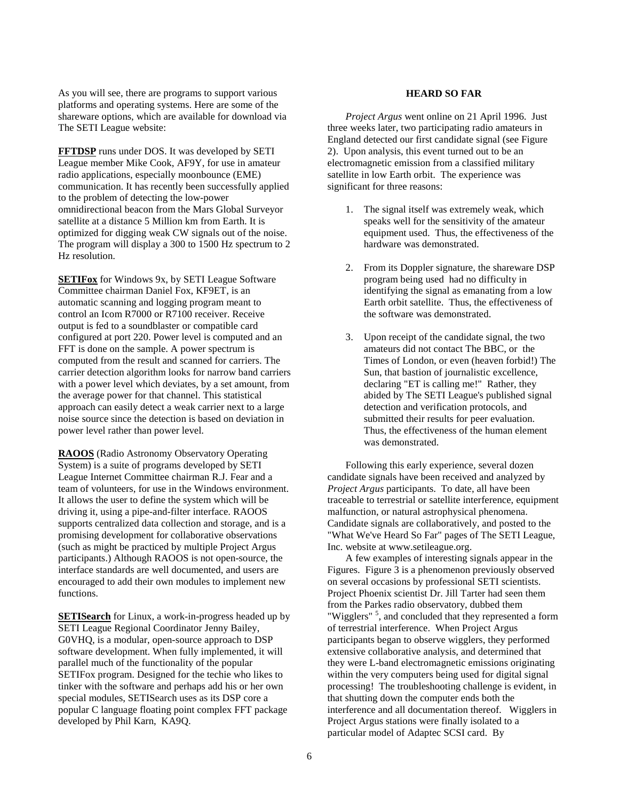As you will see, there are programs to support various platforms and operating systems. Here are some of the shareware options, which are available for download via The SETI League website:

**FFTDSP** runs under DOS. It was developed by SETI League member Mike Cook, AF9Y, for use in amateur radio applications, especially moonbounce (EME) communication. It has recently been successfully applied to the problem of detecting the low-power omnidirectional beacon from the Mars Global Surveyor satellite at a distance 5 Million km from Earth. It is optimized for digging weak CW signals out of the noise. The program will display a 300 to 1500 Hz spectrum to 2 Hz resolution.

**SETIFox** for Windows 9x, by SETI League Software Committee chairman Daniel Fox, KF9ET, is an automatic scanning and logging program meant to control an Icom R7000 or R7100 receiver. Receive output is fed to a soundblaster or compatible card configured at port 220. Power level is computed and an FFT is done on the sample. A power spectrum is computed from the result and scanned for carriers. The carrier detection algorithm looks for narrow band carriers with a power level which deviates, by a set amount, from the average power for that channel. This statistical approach can easily detect a weak carrier next to a large noise source since the detection is based on deviation in power level rather than power level.

**RAOOS** (Radio Astronomy Observatory Operating System) is a suite of programs developed by SETI League Internet Committee chairman R.J. Fear and a team of volunteers, for use in the Windows environment. It allows the user to define the system which will be driving it, using a pipe-and-filter interface. RAOOS supports centralized data collection and storage, and is a promising development for collaborative observations (such as might be practiced by multiple Project Argus participants.) Although RAOOS is not open-source, the interface standards are well documented, and users are encouraged to add their own modules to implement new functions.

**SETISearch** for Linux, a work-in-progress headed up by SETI League Regional Coordinator Jenny Bailey, G0VHQ, is a modular, open-source approach to DSP software development. When fully implemented, it will parallel much of the functionality of the popular SETIFox program. Designed for the techie who likes to tinker with the software and perhaps add his or her own special modules, SETISearch uses as its DSP core a popular C language floating point complex FFT package developed by Phil Karn, KA9Q.

# **HEARD SO FAR**

*Project Argus* went online on 21 April 1996. Just three weeks later, two participating radio amateurs in England detected our first candidate signal (see Figure 2). Upon analysis, this event turned out to be an electromagnetic emission from a classified military satellite in low Earth orbit. The experience was significant for three reasons:

- 1. The signal itself was extremely weak, which speaks well for the sensitivity of the amateur equipment used. Thus, the effectiveness of the hardware was demonstrated.
- 2. From its Doppler signature, the shareware DSP program being used had no difficulty in identifying the signal as emanating from a low Earth orbit satellite. Thus, the effectiveness of the software was demonstrated.
- 3. Upon receipt of the candidate signal, the two amateurs did not contact The BBC, or the Times of London, or even (heaven forbid!) The Sun, that bastion of journalistic excellence, declaring "ET is calling me!" Rather, they abided by The SETI League's published signal detection and verification protocols, and submitted their results for peer evaluation. Thus, the effectiveness of the human element was demonstrated.

Following this early experience, several dozen candidate signals have been received and analyzed by *Project Argus* participants. To date, all have been traceable to terrestrial or satellite interference, equipment malfunction, or natural astrophysical phenomena. Candidate signals are collaboratively, and posted to the "What We've Heard So Far" pages of The SETI League, Inc. website at www.setileague.org.

A few examples of interesting signals appear in the Figures. Figure 3 is a phenomenon previously observed on several occasions by professional SETI scientists. Project Phoenix scientist Dr. Jill Tarter had seen them from the Parkes radio observatory, dubbed them "Wigglers"<sup>5</sup>, and concluded that they represented a form of terrestrial interference. When Project Argus participants began to observe wigglers, they performed extensive collaborative analysis, and determined that they were L-band electromagnetic emissions originating within the very computers being used for digital signal processing! The troubleshooting challenge is evident, in that shutting down the computer ends both the interference and all documentation thereof. Wigglers in Project Argus stations were finally isolated to a particular model of Adaptec SCSI card. By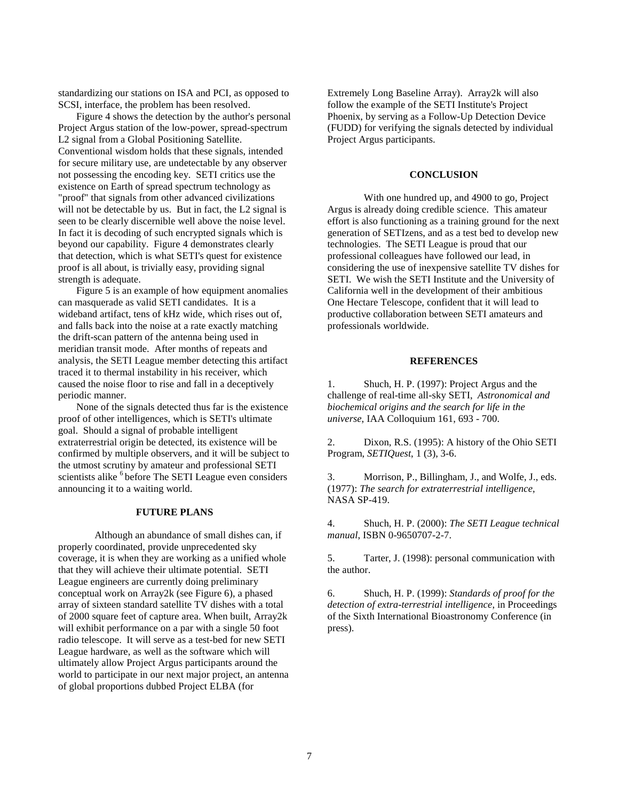standardizing our stations on ISA and PCI, as opposed to SCSI, interface, the problem has been resolved.

Figure 4 shows the detection by the author's personal Project Argus station of the low-power, spread-spectrum L2 signal from a Global Positioning Satellite. Conventional wisdom holds that these signals, intended for secure military use, are undetectable by any observer not possessing the encoding key. SETI critics use the existence on Earth of spread spectrum technology as "proof" that signals from other advanced civilizations will not be detectable by us. But in fact, the L2 signal is seen to be clearly discernible well above the noise level. In fact it is decoding of such encrypted signals which is beyond our capability. Figure 4 demonstrates clearly that detection, which is what SETI's quest for existence proof is all about, is trivially easy, providing signal strength is adequate.

Figure 5 is an example of how equipment anomalies can masquerade as valid SETI candidates. It is a wideband artifact, tens of kHz wide, which rises out of, and falls back into the noise at a rate exactly matching the drift-scan pattern of the antenna being used in meridian transit mode. After months of repeats and analysis, the SETI League member detecting this artifact traced it to thermal instability in his receiver, which caused the noise floor to rise and fall in a deceptively periodic manner.

None of the signals detected thus far is the existence proof of other intelligences, which is SETI's ultimate goal. Should a signal of probable intelligent extraterrestrial origin be detected, its existence will be confirmed by multiple observers, and it will be subject to the utmost scrutiny by amateur and professional SETI scientists alike <sup>6</sup> before The SETI League even considers announcing it to a waiting world.

# **FUTURE PLANS**

Although an abundance of small dishes can, if properly coordinated, provide unprecedented sky coverage, it is when they are working as a unified whole that they will achieve their ultimate potential. SETI League engineers are currently doing preliminary conceptual work on Array2k (see Figure 6), a phased array of sixteen standard satellite TV dishes with a total of 2000 square feet of capture area. When built, Array2k will exhibit performance on a par with a single 50 foot radio telescope. It will serve as a test-bed for new SETI League hardware, as well as the software which will ultimately allow Project Argus participants around the world to participate in our next major project, an antenna of global proportions dubbed Project ELBA (for

Extremely Long Baseline Array). Array2k will also follow the example of the SETI Institute's Project Phoenix, by serving as a Follow-Up Detection Device (FUDD) for verifying the signals detected by individual Project Argus participants.

# **CONCLUSION**

 With one hundred up, and 4900 to go, Project Argus is already doing credible science. This amateur effort is also functioning as a training ground for the next generation of SETIzens, and as a test bed to develop new technologies. The SETI League is proud that our professional colleagues have followed our lead, in considering the use of inexpensive satellite TV dishes for SETI. We wish the SETI Institute and the University of California well in the development of their ambitious One Hectare Telescope, confident that it will lead to productive collaboration between SETI amateurs and professionals worldwide.

### **REFERENCES**

1. Shuch, H. P. (1997): Project Argus and the challenge of real-time all-sky SETI, *Astronomical and biochemical origins and the search for life in the universe*, IAA Colloquium 161, 693 - 700.

2. Dixon, R.S. (1995): A history of the Ohio SETI Program, *SETIQuest*, 1 (3), 3-6.

3. Morrison, P., Billingham, J., and Wolfe, J., eds. (1977): *The search for extraterrestrial intelligence*, NASA SP-419.

4. Shuch, H. P. (2000): *The SETI League technical manual*, ISBN 0-9650707-2-7.

5. Tarter, J. (1998): personal communication with the author.

6. Shuch, H. P. (1999): *Standards of proof for the detection of extra-terrestrial intelligence*, in Proceedings of the Sixth International Bioastronomy Conference (in press).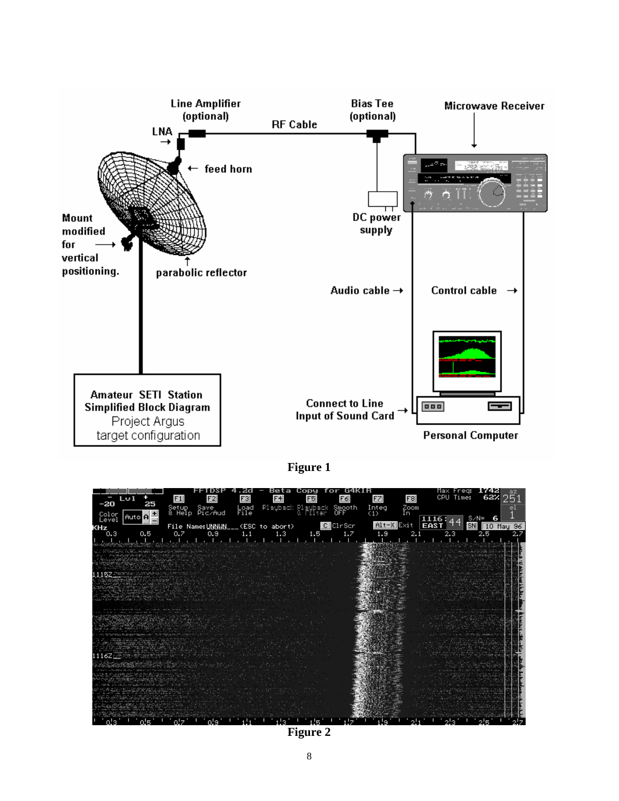





**Figure 2**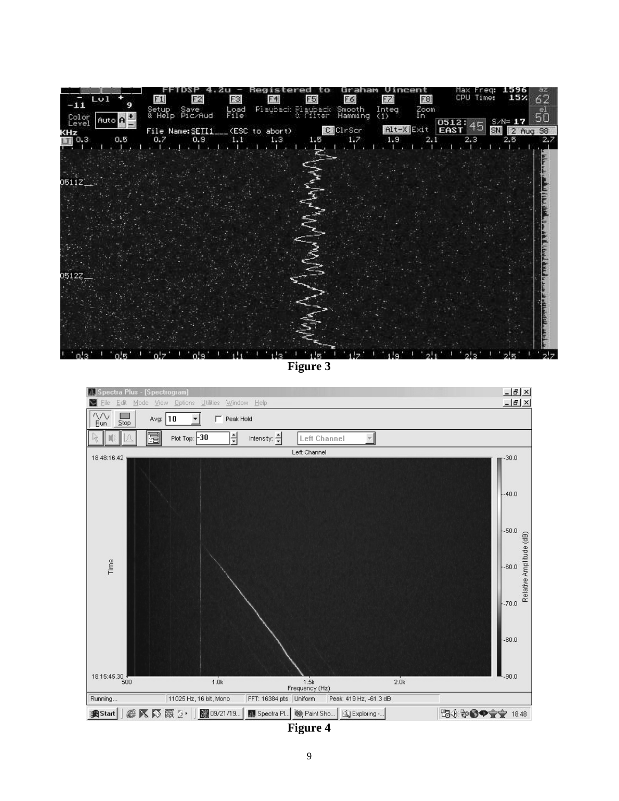



**Figure 4**